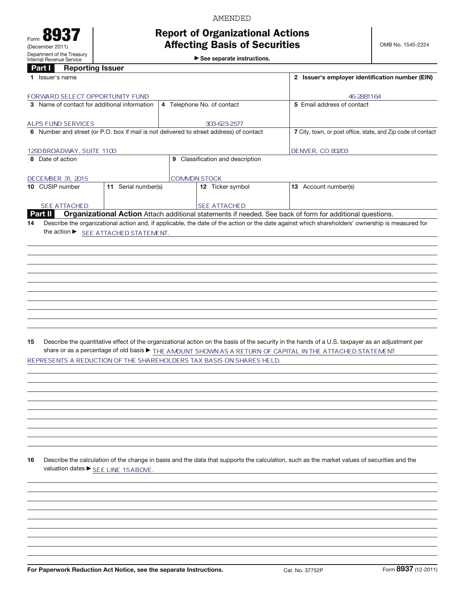## Report of Organizational Actions Affecting Basis of Securities

AMENDED

 $\blacktriangleright$  See separate instructions.

## Part **I** Reporting Issuer

|    | Part I<br><b>Reporting Issuer</b>            |                                      |  |                                                                                         |                                                                                                                                                 |  |  |  |  |  |  |
|----|----------------------------------------------|--------------------------------------|--|-----------------------------------------------------------------------------------------|-------------------------------------------------------------------------------------------------------------------------------------------------|--|--|--|--|--|--|
|    | 1 Issuer's name                              |                                      |  | 2 Issuer's employer identification number (EIN)                                         |                                                                                                                                                 |  |  |  |  |  |  |
|    | FORWARD SELECT OPPORTUNITY FUND              |                                      |  |                                                                                         | 46-2881164                                                                                                                                      |  |  |  |  |  |  |
|    | 3 Name of contact for additional information |                                      |  | 4 Telephone No. of contact                                                              | 5 Email address of contact                                                                                                                      |  |  |  |  |  |  |
|    |                                              |                                      |  |                                                                                         |                                                                                                                                                 |  |  |  |  |  |  |
|    | <b>ALPS FUND SERVICES</b>                    |                                      |  | 303-623-2577                                                                            |                                                                                                                                                 |  |  |  |  |  |  |
|    |                                              |                                      |  | 6 Number and street (or P.O. box if mail is not delivered to street address) of contact | 7 City, town, or post office, state, and Zip code of contact                                                                                    |  |  |  |  |  |  |
|    | 1290 BROADWAY, SUITE 1100                    |                                      |  |                                                                                         | DENVER, CO 80203                                                                                                                                |  |  |  |  |  |  |
|    | 8 Date of action                             |                                      |  | 9 Classification and description                                                        |                                                                                                                                                 |  |  |  |  |  |  |
|    |                                              |                                      |  |                                                                                         |                                                                                                                                                 |  |  |  |  |  |  |
|    | DECEMBER 31, 2015                            |                                      |  | <b>COMMON STOCK</b>                                                                     |                                                                                                                                                 |  |  |  |  |  |  |
|    | 10 CUSIP number                              | 11 Serial number(s)                  |  | 12 Ticker symbol                                                                        | 13 Account number(s)                                                                                                                            |  |  |  |  |  |  |
|    | SEE ATTACHED                                 |                                      |  | <b>SEE ATTACHED</b>                                                                     |                                                                                                                                                 |  |  |  |  |  |  |
|    | Part II                                      |                                      |  |                                                                                         | Organizational Action Attach additional statements if needed. See back of form for additional questions.                                        |  |  |  |  |  |  |
| 14 |                                              |                                      |  |                                                                                         | Describe the organizational action and, if applicable, the date of the action or the date against which shareholders' ownership is measured for |  |  |  |  |  |  |
|    |                                              |                                      |  |                                                                                         |                                                                                                                                                 |  |  |  |  |  |  |
|    |                                              | the action ▶ SEE ATTACHED STATEMENT. |  |                                                                                         |                                                                                                                                                 |  |  |  |  |  |  |
|    |                                              |                                      |  |                                                                                         |                                                                                                                                                 |  |  |  |  |  |  |
|    |                                              |                                      |  |                                                                                         |                                                                                                                                                 |  |  |  |  |  |  |
|    |                                              |                                      |  |                                                                                         |                                                                                                                                                 |  |  |  |  |  |  |
|    |                                              |                                      |  |                                                                                         |                                                                                                                                                 |  |  |  |  |  |  |
|    |                                              |                                      |  |                                                                                         |                                                                                                                                                 |  |  |  |  |  |  |
|    |                                              |                                      |  |                                                                                         |                                                                                                                                                 |  |  |  |  |  |  |
|    |                                              |                                      |  |                                                                                         |                                                                                                                                                 |  |  |  |  |  |  |
|    |                                              |                                      |  |                                                                                         |                                                                                                                                                 |  |  |  |  |  |  |
|    |                                              |                                      |  |                                                                                         |                                                                                                                                                 |  |  |  |  |  |  |
|    |                                              |                                      |  |                                                                                         |                                                                                                                                                 |  |  |  |  |  |  |
|    |                                              |                                      |  |                                                                                         |                                                                                                                                                 |  |  |  |  |  |  |
|    |                                              |                                      |  |                                                                                         |                                                                                                                                                 |  |  |  |  |  |  |
| 15 |                                              |                                      |  |                                                                                         | Describe the quantitative effect of the organizational action on the basis of the security in the hands of a U.S. taxpayer as an adjustment per |  |  |  |  |  |  |
|    |                                              |                                      |  |                                                                                         | share or as a percentage of old basis > THE AMOUNT SHOWN AS A RETURN OF CAPITAL IN THE ATTACHED STATEMENT                                       |  |  |  |  |  |  |
|    |                                              |                                      |  | REPRESENTS A REDUCTION OF THE SHAREHOLDERS TAX BASIS ON SHARES HELD.                    |                                                                                                                                                 |  |  |  |  |  |  |
|    |                                              |                                      |  |                                                                                         |                                                                                                                                                 |  |  |  |  |  |  |
|    |                                              |                                      |  |                                                                                         |                                                                                                                                                 |  |  |  |  |  |  |
|    |                                              |                                      |  |                                                                                         |                                                                                                                                                 |  |  |  |  |  |  |
|    |                                              |                                      |  |                                                                                         |                                                                                                                                                 |  |  |  |  |  |  |
|    |                                              |                                      |  |                                                                                         |                                                                                                                                                 |  |  |  |  |  |  |
|    |                                              |                                      |  |                                                                                         |                                                                                                                                                 |  |  |  |  |  |  |
|    |                                              |                                      |  |                                                                                         |                                                                                                                                                 |  |  |  |  |  |  |
|    |                                              |                                      |  |                                                                                         |                                                                                                                                                 |  |  |  |  |  |  |
|    |                                              |                                      |  |                                                                                         |                                                                                                                                                 |  |  |  |  |  |  |
|    |                                              |                                      |  |                                                                                         |                                                                                                                                                 |  |  |  |  |  |  |
| 16 |                                              |                                      |  |                                                                                         | Describe the calculation of the change in basis and the data that supports the calculation, such as the market values of securities and the     |  |  |  |  |  |  |
|    |                                              | valuation dates ▶ SEE LINE 15ABOVE.  |  |                                                                                         |                                                                                                                                                 |  |  |  |  |  |  |
|    |                                              |                                      |  |                                                                                         |                                                                                                                                                 |  |  |  |  |  |  |
|    |                                              |                                      |  |                                                                                         |                                                                                                                                                 |  |  |  |  |  |  |
|    |                                              |                                      |  |                                                                                         |                                                                                                                                                 |  |  |  |  |  |  |
|    |                                              |                                      |  |                                                                                         |                                                                                                                                                 |  |  |  |  |  |  |
|    |                                              |                                      |  |                                                                                         |                                                                                                                                                 |  |  |  |  |  |  |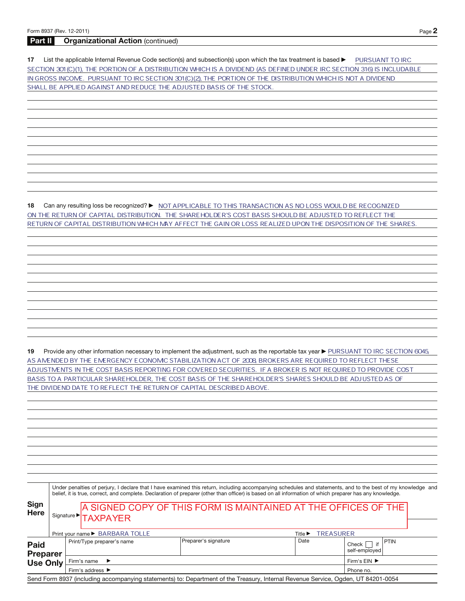## **Part II Organizational Action** (continued)

17 List the applicable Internal Revenue Code section(s) and subsection(s) upon which the tax treatment is based **DEP TO ANT TO IRC** SECTION 301(C)(1), THE PORTION OF A DISTRIBUTION WHICH IS A DIVIDEND (AS DEFINED UNDER IRC SECTION 316) IS INCLUDABLE IN GROSS INCOME. PURSUANT TO IRC SECTION 301 (C)(2), THE PORTION OF THE DISTRIBUTION WHICH IS NOT A DIVIDEND SHALL BE APPLIED AGAINST AND REDUCE THE ADJUSTED BASIS OF THE STOCK.

**18** Can any resulting loss be recognized? ▶ MOT APPLICABLE TO THIS TRANSACTION AS NO LOSS WOULD BE RECOGNIZED ON THE RETURN OF CAPITAL DISTRIBUTION. THE SHAREHOLDER'S COST BASIS SHOULD BE ADJUSTED TO REFLECT THE RETURN OF CAPITAL DISTRIBUTION WHICH MAY AFFECT THE GAIN OR LOSS REALIZED UPON THE DISPOSITION OF THE SHARES.

19 Provide any other information necessary to implement the adjustment, such as the reportable tax year ▶ PURSUANT TO IRC SECTION 6045 AS AMENDED BY THE EMERGENCY ECONOMIC STABILIZATION ACT OF 2008 BROKERS ARE REQUIRED TO REFLECT THESE ADJUSTMENTS IN THE COST BASIS REPORTING FOR COVERED SECURITIES. IF A BROKER IS NOT REQUIRED TO PROVIDE COST BASIS TO A PARTICULAR SHAREHOLDER, THE COST BASIS OF THE SHAREHOLDER'S SHARES SHOULD BE ADJUSTED AS OF THE DIVIDEND DATE TO REFLECT THE RETURN OF CAPITAL DESCRIBED ABOVE.

|                                |                                                                                                      | Under penalties of perjury, I declare that I have examined this return, including accompanying schedules and statements, and to the best of my knowledge and<br>belief, it is true, correct, and complete. Declaration of preparer (other than officer) is based on all information of which preparer has any knowledge. |                             |                                               |  |  |  |  |  |  |
|--------------------------------|------------------------------------------------------------------------------------------------------|--------------------------------------------------------------------------------------------------------------------------------------------------------------------------------------------------------------------------------------------------------------------------------------------------------------------------|-----------------------------|-----------------------------------------------|--|--|--|--|--|--|
| <b>Sign</b><br>Here            | A SIGNED COPY OF THIS FORM IS MAINTAINED AT THE OFFICES OF THE<br>Signature <sup>&gt;</sup> TAXPAYER |                                                                                                                                                                                                                                                                                                                          |                             |                                               |  |  |  |  |  |  |
|                                | Print your name ▶ BARBARA TOLLE                                                                      |                                                                                                                                                                                                                                                                                                                          | <b>TREASURER</b><br>Title ▶ |                                               |  |  |  |  |  |  |
| <b>Paid</b><br><b>Preparer</b> | Print/Type preparer's name                                                                           | Preparer's signature                                                                                                                                                                                                                                                                                                     | Date                        | PTIN<br>$Check$ $\Box$<br>if<br>self-employed |  |  |  |  |  |  |
| <b>Use Only</b>                | Firm's name $\blacktriangleright$                                                                    |                                                                                                                                                                                                                                                                                                                          | Firm's EIN ▶                |                                               |  |  |  |  |  |  |
|                                | Firm's address $\blacktriangleright$                                                                 | Phone no.                                                                                                                                                                                                                                                                                                                |                             |                                               |  |  |  |  |  |  |
|                                |                                                                                                      | Send Form 8937 (including accompanying statements) to: Department of the Treasury, Internal Revenue Service, Ogden, UT 84201-0054                                                                                                                                                                                        |                             |                                               |  |  |  |  |  |  |